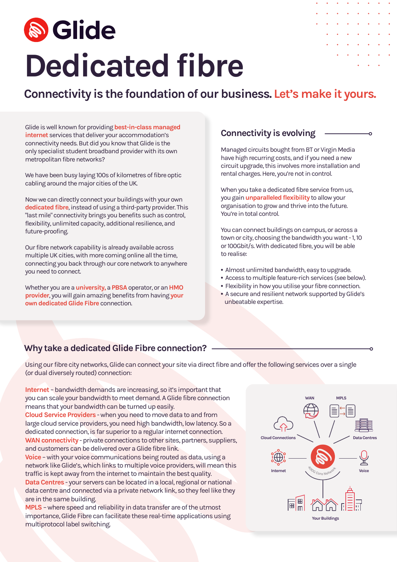# **& Glide Dedicated fibre**

|             |   | <b>All All All All All All All</b>                                                                                                                                                                                                                                                                                                                                                                                                                         |                                                                                                                                     |   |           |  |
|-------------|---|------------------------------------------------------------------------------------------------------------------------------------------------------------------------------------------------------------------------------------------------------------------------------------------------------------------------------------------------------------------------------------------------------------------------------------------------------------|-------------------------------------------------------------------------------------------------------------------------------------|---|-----------|--|
| $\bullet$ . |   | $\mathbf{a} \qquad \mathbf{a} \qquad \mathbf{a} \qquad \mathbf{a} \qquad \mathbf{a} \qquad \mathbf{a} \qquad \mathbf{a} \qquad \mathbf{a} \qquad \mathbf{a} \qquad \mathbf{a} \qquad \mathbf{a} \qquad \mathbf{a} \qquad \mathbf{a} \qquad \mathbf{a} \qquad \mathbf{a} \qquad \mathbf{a} \qquad \mathbf{a} \qquad \mathbf{a} \qquad \mathbf{a} \qquad \mathbf{a} \qquad \mathbf{a} \qquad \mathbf{a} \qquad \mathbf{a} \qquad \mathbf{a} \qquad \mathbf{$ |                                                                                                                                     |   |           |  |
| $\bullet$   |   | <b><i>Charles Communication Communication Communication Communication Communication Communication Communication</i></b>                                                                                                                                                                                                                                                                                                                                    |                                                                                                                                     |   |           |  |
|             |   | <b>Contract Contract Contract Contract Contract Contract Contract Contract Contract Contract Contract Contract Contract Contract Contract Contract Contract Contract Contract Contract Contract Contract Contract Contract Contr</b>                                                                                                                                                                                                                       |                                                                                                                                     |   |           |  |
|             |   | .                                                                                                                                                                                                                                                                                                                                                                                                                                                          |                                                                                                                                     |   |           |  |
|             | ۰ |                                                                                                                                                                                                                                                                                                                                                                                                                                                            | $\begin{array}{cccccccccccccc} \bullet & \bullet & \bullet & \bullet & \bullet & \bullet & \bullet & \bullet & \bullet \end{array}$ |   |           |  |
|             |   |                                                                                                                                                                                                                                                                                                                                                                                                                                                            |                                                                                                                                     | ٠ | $\bullet$ |  |
|             |   |                                                                                                                                                                                                                                                                                                                                                                                                                                                            |                                                                                                                                     |   |           |  |
|             |   |                                                                                                                                                                                                                                                                                                                                                                                                                                                            |                                                                                                                                     |   |           |  |

## **Connectivity is the foundation of our business. Let's make it yours.**

Glide is well known for providing **best-in-class managed**<br> **Connectivity is evolving internet** services that deliver your accommodation's connectivity needs. But did you know that Glide is the only specialist student broadband provider with its own metropolitan fibre networks?

We have been busy laying 100s of kilometres of fibre optic cabling around the major cities of the UK.

Now we can directly connect your buildings with your own **dedicated fibre**, instead of using a third-party provider. This "last mile" connectivity brings you benefits such as control, flexibility, unlimited capacity, additional resilience, and future-proofing.

Our fibre network capability is already available across multiple UK cities, with more coming online all the time, connecting you back through our core network to anywhere you need to connect.

Whether you are a **university,** a **PBSA** operator, or an **HMO provider**, you will gain amazing benefits from having **your own dedicated Glide Fibre** connection.

Managed circuits bought from BT or Virgin Media have high recurring costs, and if you need a new circuit upgrade, this involves more installation and rental charges. Here, you're not in control.

When you take a dedicated fibre service from us, you gain **unparalleled flexibility** to allow your organisation to grow and thrive into the future. You're in total control.

You can connect buildings on campus, or across a town or city, choosing the bandwidth you want - 1, 10 or 100Gbit/s. With dedicated fibre, you will be able to realise:

- **•** Almost unlimited bandwidth, easy to upgrade.
- **•** Access to multiple feature-rich services (see below).
- **•** Flexibility in how you utilise your fibre connection.
- **•** A secure and resilient network supported by Glide's unbeatable expertise.

### **Why take a dedicated Glide Fibre connection?**

Using our fibre city networks, Glide can connect your site via direct fibre and offer the following services over a single (or dual diversely routed) connection:

**Internet** – bandwidth demands are increasing, so it's important that you can scale your bandwidth to meet demand. A Glide fibre connection means that your bandwidth can be turned up easily.

**Cloud Service Providers** - when you need to move data to and from large cloud service providers, you need high bandwidth, low latency. So a dedicated connection, is far superior to a regular internet connection. **WAN connectivity** - private connections to other sites, partners, suppliers, and customers can be delivered over a Glide fibre link.

**Voice** – with your voice communications being routed as data, using a network like Glide's, which links to multiple voice providers, will mean this traffic is kept away from the internet to maintain the best quality.

**Data Centres** - your servers can be located in a local, regional or national data centre and connected via a private network link, so they feel like they are in the same building.

**MPLS** – where speed and reliability in data transfer are of the utmost importance, Glide Fibre can facilitate these real-time applications using multiprotocol label switching.